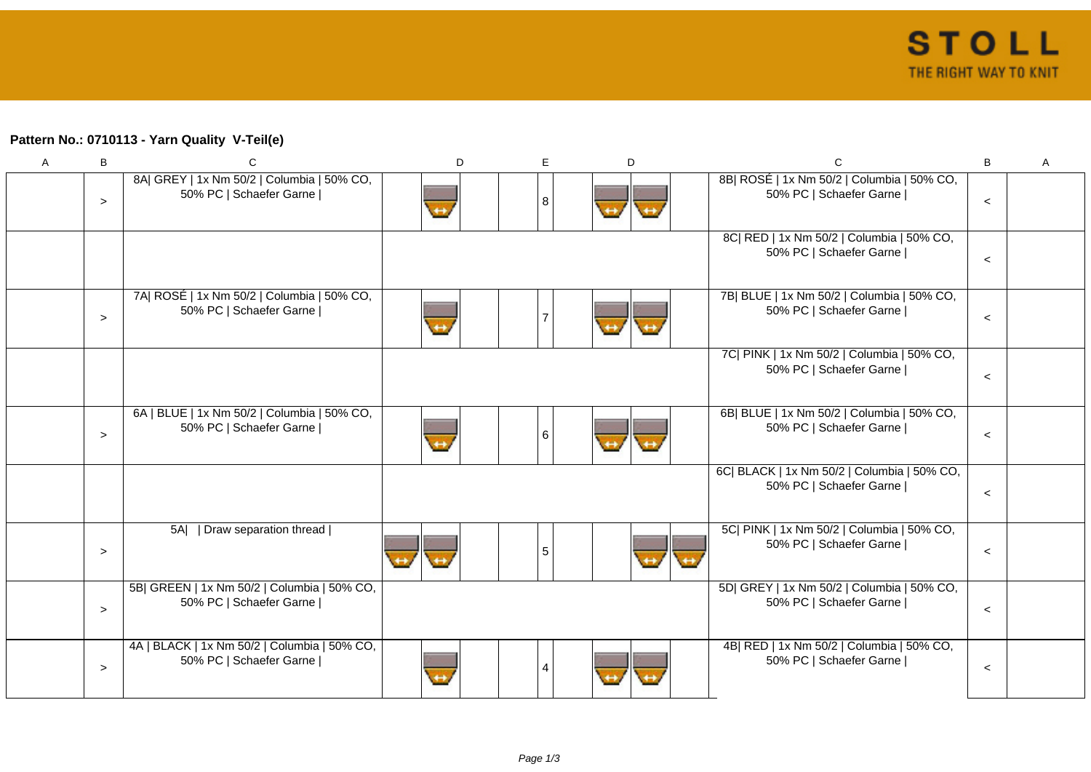## **Pattern No.: 0710113 - Yarn Quality V-Teil(e)**

| A | B      | C                                                                       | D | E.             | D | C                                                                      | B       | A |
|---|--------|-------------------------------------------------------------------------|---|----------------|---|------------------------------------------------------------------------|---------|---|
|   | $\geq$ | 8A  GREY   1x Nm 50/2   Columbia   50% CO,<br>50% PC   Schaefer Garne   |   | 8              |   | 8B  ROSÉ   1x Nm 50/2   Columbia   50% CO,<br>50% PC   Schaefer Garne  | $\,<$   |   |
|   |        |                                                                         |   |                |   | 8C  RED   1x Nm 50/2   Columbia   50% CO,<br>50% PC   Schaefer Garne   | $\,<$   |   |
|   | $\geq$ | 7A  ROSÉ   1x Nm 50/2   Columbia   50% CO,<br>50% PC   Schaefer Garne   |   | $\overline{7}$ |   | 7B  BLUE   1x Nm 50/2   Columbia   50% CO,<br>50% PC   Schaefer Garne  | $\,<$   |   |
|   |        |                                                                         |   |                |   | 7C  PINK   1x Nm 50/2   Columbia   50% CO,<br>50% PC   Schaefer Garne  | $\,<$   |   |
|   | $\geq$ | 6A   BLUE   1x Nm 50/2   Columbia   50% CO,<br>50% PC   Schaefer Garne  |   | $\,6\,$        |   | 6B  BLUE   1x Nm 50/2   Columbia   50% CO,<br>50% PC   Schaefer Garne  | $\,<$   |   |
|   |        |                                                                         |   |                |   | 6C  BLACK   1x Nm 50/2   Columbia   50% CO,<br>50% PC   Schaefer Garne | $\,<$   |   |
|   | $\,>$  | 5A     Draw separation thread                                           |   | 5              |   | 5C  PINK   1x Nm 50/2   Columbia   50% CO,<br>50% PC   Schaefer Garne  | $\,<$   |   |
|   | $\geq$ | 5B  GREEN   1x Nm 50/2   Columbia   50% CO,<br>50% PC   Schaefer Garne  |   |                |   | 5D  GREY   1x Nm 50/2   Columbia   50% CO,<br>50% PC   Schaefer Garne  | $\prec$ |   |
|   | $\,>$  | 4A   BLACK   1x Nm 50/2   Columbia   50% CO,<br>50% PC   Schaefer Garne |   | 4              |   | 4B  RED   1x Nm 50/2   Columbia   50% CO,<br>50% PC   Schaefer Garne   | $\,<$   |   |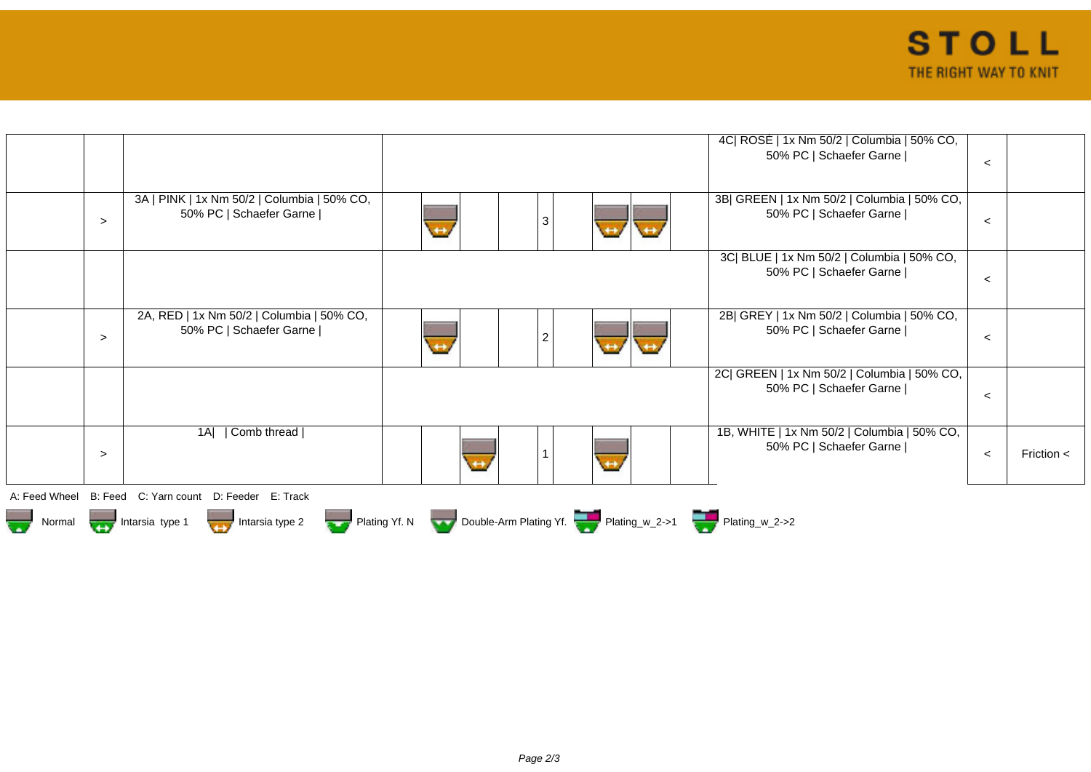|        |                                                                        | 4C  ROSÉ   1x Nm 50/2   Columbia   50% CO,<br>50% PC   Schaefer Garne                                                   | $\,<\,$ |                |
|--------|------------------------------------------------------------------------|-------------------------------------------------------------------------------------------------------------------------|---------|----------------|
|        |                                                                        |                                                                                                                         |         |                |
| $\geq$ | 3A   PINK   1x Nm 50/2   Columbia   50% CO,<br>50% PC   Schaefer Garne | 3B  GREEN   1x Nm 50/2   Columbia   50% CO,<br>50% PC   Schaefer Garne  <br>3<br>$\leftrightarrow$<br>$\leftrightarrow$ | $\prec$ |                |
|        |                                                                        | 3C  BLUE   1x Nm 50/2   Columbia   50% CO,<br>50% PC   Schaefer Garne                                                   | $\prec$ |                |
| $\geq$ | 2A, RED   1x Nm 50/2   Columbia   50% CO,<br>50% PC   Schaefer Garne   | 2B  GREY   1x Nm 50/2   Columbia   50% CO,<br>50% PC   Schaefer Garne  <br>2<br>$\leftrightarrow$                       | $\,<\,$ |                |
|        |                                                                        | 2C  GREEN   1x Nm 50/2   Columbia   50% CO,<br>50% PC   Schaefer Garne                                                  | $\prec$ |                |
| $\geq$ | Comb thread  <br>1AI                                                   | 1B, WHITE   1x Nm 50/2   Columbia   50% CO,<br>50% PC   Schaefer Garne  <br>$\leftrightarrow$                           | $\,<$   | Friction $\lt$ |
|        | A: Feed Wheel B: Feed C: Yarn count D: Feeder E: Track                 |                                                                                                                         |         |                |
|        |                                                                        | Normal Intarsia type 1 Intarsia type 2 Plating Yf. N Double-Arm Plating Yf. Plating_w_2->1                              |         |                |